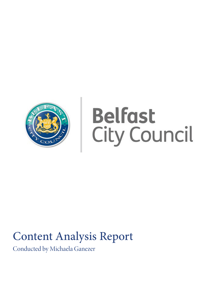

## **Belfast City Council**

### Content Analysis Report

Conducted by Michaela Ganezer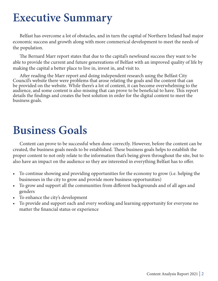### **Executive Summary**

 Belfast has overcome a lot of obstacles, and in turn the capital of Northern Ireland had major economic success and growth along with more commerical development to meet the needs of the population.

 The Bernard Marr report states that due to the capital's newfound success they want to be able to provide the current and future genereations of Belfast with an improved quality of life by making the capital a better place to live in, invest in, and visit to.

 After reading the Marr report and doing independent research using the Belfast City Council's website there were problems that arose relating the goals and the content that can be provided on the website. While there's a lot of content, it can become overwhelming to the audience, and some content is also missing that can prove to be beneficial to have. This report details the findings and creates the best solution in order for the digital content to meet the business goals.

### **Business Goals**

 Content can prove to be successful when done correctly. However, before the content can be created, the business goals needs to be established. These business goals helps to establish the proper content to not only relate to the information that's being given throughout the site, but to also have an impact on the audience so they are interested in everything Belfast has to offer.

- To continue showing and providing opportunities for the economy to grow (i.e. helping the businesses in the city to grow and provide more business opportunities)
- To grow and support all the communities from different backgrounds and of all ages and genders
- To enhance the city's development
- To provide and support each and every working and learning opportunity for everyone no matter the financial status or experience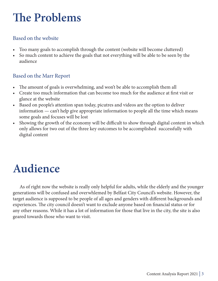### **The Problems**

#### Based on the website

- Too many goals to accomplish through the content (website will become cluttered)
- So much content to achieve the goals that not everything will be able to be seen by the audience

#### Based on the Marr Report

- The amount of goals is overwhelming, and won't be able to accomplish them all
- Create too much information that can become too much for the audience at first visit or glance at the website
- Based on people's attention span today, picutres and videos are the option to deliver information — can't help give appropriate information to people all the time which means some goals and focuses will be lost
- Showing the growth of the economy will be difficult to show through digital content in which only allows for two out of the three key outcomes to be accomplished successfully with digital content

### **Audience**

 As of right now the website is really only helpful for adults, while the elderly and the younger generations will be confused and overwhlemed by Belfast City Council's website. However, the target audience is supposed to be people of all ages and genders with different backgrounds and experiences. The city council doesn't want to exclude anyone based on financial status or for any other reasons. While it has a lot of information for those that live in the city, the site is also geared towards those who want to visit.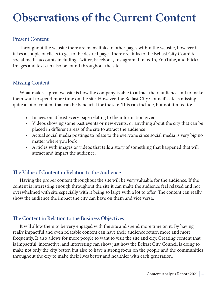### **Observations of the Current Content**

#### Present Content

 Throughout the website there are many links to other pages within the website, however it takes a couple of clicks to get to the desired page. There are links to the Belfast City Counil's social media accounts including Twitter, Facebook, Instagram, LinkedIn, YouTube, and Flickr. Images and text can also be found throughout the site.

#### Missing Content

 What makes a great website is how the company is able to attract their audience and to make them want to spend more time on the site. However, the Belfast City Council's site is missing quite a lot of content that can be beneficial for the site. This can include, but not limited to:

- Images on at least every page relating to the information given
- Videos showing some past events or new events, or anything about the city that can be placed in different areas of the site to attract the audience
- Actual social media postings to relate to the everyone since social media is very big no matter where you look
- Articles with images or videos that tells a story of something that happened that will attract and impact the audience.

#### The Value of Content in Relation to the Audience

 Having the proper content throughout the site will be very valuable for the audience. If the content is interesting enough throughout the site it can make the audience feel relaxed and not overwhelmed with site especially with it being so large with a lot to offer. The content can really show the audience the impact the city can have on them and vice versa.

#### The Content in Relation to the Business Objectives

 It will allow them to be very engaged with the site and spend more time on it. By having really impactful and even relatable content can have their audience return more and more frequently. It also allows for more people to want to visit the site and city. Creating content that is impactful, interactive, and interesting can show just how the Belfast City Council is doing to make not only the city better, but also to have a strong focus on the people and the communities throughout the city to make their lives better and healthier with each generation.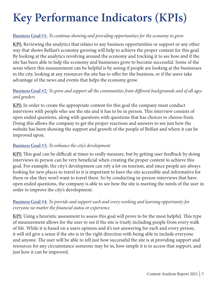## **Key Performance Indicators (KPIs)**

#### **Business Goal #1:** *To continue showing and providing opportunities for the economy to grow*

**KPI:** Reviewing the analytics that relates to any business opportunities or support or any other way that shows Belfast's economy growing will help to achieve the proper content for this goal. By looking at the analytics revolving around the economy and tracking it to see how and if the site has been able to help the economy and businesses grow to become successful. Some of the areas where this measurement can be helpful is by seeing if people are looking at the businesses in the city, looking at any resources the site has to offer for the business, or if the users take advantage of the news and events that helps the economy grow.

#### **Business Goal #2:** *To grow and support all the communities from different backgrounds and of all ages and genders*

**KPI:** In order to create the appropriate content for this goal the company must conduct interviews with people who use the site and it has to be in person. This interview consists of open ended questions, along with questions with questions that has choices to choose from. Doing this allows the company to get the proper reactions and answers to see just how the website has been showing the support and growth of the people of Belfast and where it can be improved upon.

#### **Business Goal #3:** *To enhance the city's development*

**KPI:** This goal can be difficult at times to really measure, but by getting user feedback by doing interviews in person can be very beneficial when creating the proper content to achieve this goal. For example, the city's development can rely a lot on tourism, and since people are always looking for new places to travel to it is important to have the site accessible and informative for them or else they won't want to travel there. So by conducting in-person interviews that have open ended questions, the company is able to see how the site is meeting the needs of the user in order to improve the city's development.

#### **Business Goal #4:** *To provide and support each and every working and learning opportunity for everyone no matter the financial status or experience*

**KPI:** Using a heuristic assessment to assess this goal will prove to be the most helpful. This type of measurement allows for the user to see if the site is truely including people from every walk of life. While it is based on a users opinion and it's not answering for each and every person, it will stil give a sense if the site is in the right direction with being able to include everyone and anyone. The user will be able to tell just how successful the site is at providing support and resources for any circumstance someone may be in, how simple it is to access that support, and just how it can be improved.